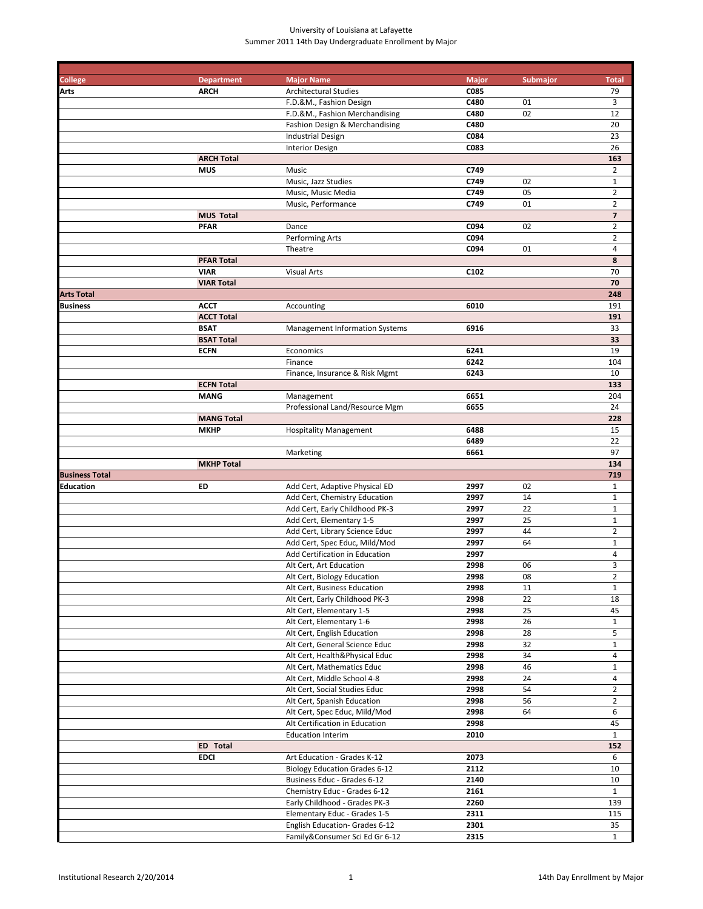# University of Louisiana at Lafayette Summer 2011 14th Day Undergraduate Enrollment by Major

| <b>College</b>        | <b>Department</b> | <b>Major Name</b>                     | <b>Major</b> | Submajor | <b>Total</b>             |
|-----------------------|-------------------|---------------------------------------|--------------|----------|--------------------------|
| Arts                  | <b>ARCH</b>       | <b>Architectural Studies</b>          | C085         |          | 79                       |
|                       |                   | F.D.&M., Fashion Design               | C480         | 01       | 3                        |
|                       |                   | F.D.&M., Fashion Merchandising        | C480         | 02       | 12                       |
|                       |                   |                                       |              |          |                          |
|                       |                   | Fashion Design & Merchandising        | C480         |          | 20                       |
|                       |                   | <b>Industrial Design</b>              | C084         |          | 23                       |
|                       |                   | <b>Interior Design</b>                | C083         |          | 26                       |
|                       | <b>ARCH Total</b> |                                       |              |          | 163                      |
|                       | <b>MUS</b>        | Music                                 | C749         |          | $\overline{2}$           |
|                       |                   | Music, Jazz Studies                   | C749         | 02       | $\mathbf 1$              |
|                       |                   |                                       |              |          |                          |
|                       |                   | Music, Music Media                    | C749         | 05       | $\overline{2}$           |
|                       |                   | Music, Performance                    | C749         | 01       | $\overline{2}$           |
|                       | <b>MUS Total</b>  |                                       |              |          | $\overline{\phantom{a}}$ |
|                       | <b>PFAR</b>       | Dance                                 | C094         | 02       | $\overline{2}$           |
|                       |                   | Performing Arts                       | C094         |          | $\overline{2}$           |
|                       |                   | Theatre                               | C094         | 01       | 4                        |
|                       |                   |                                       |              |          |                          |
|                       | <b>PFAR Total</b> |                                       |              |          | 8                        |
|                       | <b>VIAR</b>       | <b>Visual Arts</b>                    | C102         |          | 70                       |
|                       | <b>VIAR Total</b> |                                       |              |          | 70                       |
| <b>Arts Total</b>     |                   |                                       |              |          | 248                      |
| Business              | <b>ACCT</b>       | Accounting                            | 6010         |          | 191                      |
|                       | <b>ACCT Total</b> |                                       |              |          | 191                      |
|                       | <b>BSAT</b>       |                                       |              |          |                          |
|                       |                   | <b>Management Information Systems</b> | 6916         |          | 33                       |
|                       | <b>BSAT Total</b> |                                       |              |          | 33                       |
|                       | <b>ECFN</b>       | Economics                             | 6241         |          | 19                       |
|                       |                   | Finance                               | 6242         |          | 104                      |
|                       |                   | Finance, Insurance & Risk Mgmt        | 6243         |          | 10                       |
|                       | <b>ECFN Total</b> |                                       |              |          | 133                      |
|                       |                   |                                       | 6651         |          | 204                      |
|                       | <b>MANG</b>       | Management                            |              |          |                          |
|                       |                   | Professional Land/Resource Mgm        | 6655         |          | 24                       |
|                       | <b>MANG Total</b> |                                       |              |          | 228                      |
|                       | <b>MKHP</b>       | <b>Hospitality Management</b>         | 6488         |          | 15                       |
|                       |                   |                                       | 6489         |          | 22                       |
|                       |                   | Marketing                             | 6661         |          | 97                       |
|                       | <b>MKHP Total</b> |                                       |              |          | 134                      |
|                       |                   |                                       |              |          |                          |
| <b>Business Total</b> |                   |                                       |              |          | 719                      |
| Education             | ED                | Add Cert, Adaptive Physical ED        | 2997         | 02       | $\mathbf{1}$             |
|                       |                   | Add Cert, Chemistry Education         | 2997         | 14       | $\mathbf{1}$             |
|                       |                   | Add Cert, Early Childhood PK-3        | 2997         | 22       | $\mathbf{1}$             |
|                       |                   | Add Cert, Elementary 1-5              | 2997         | 25       | $\mathbf{1}$             |
|                       |                   | Add Cert, Library Science Educ        | 2997         | 44       | $\overline{2}$           |
|                       |                   | Add Cert, Spec Educ, Mild/Mod         | 2997         | 64       | $\mathbf{1}$             |
|                       |                   |                                       |              |          |                          |
|                       |                   | Add Certification in Education        | 2997         |          | $\overline{4}$           |
|                       |                   | Alt Cert, Art Education               | 2998         | 06       | 3                        |
|                       |                   | Alt Cert, Biology Education           | 2998         | 08       | $\overline{2}$           |
|                       |                   | Alt Cert, Business Education          | 2998         | 11       | $\mathbf{1}$             |
|                       |                   | Alt Cert, Early Childhood PK-3        | 2998         | 22       | 18                       |
|                       |                   | Alt Cert, Elementary 1-5              | 2998         | 25       | 45                       |
|                       |                   |                                       |              |          |                          |
|                       |                   | Alt Cert, Elementary 1-6              | 2998         | 26       | $\mathbf{1}$             |
|                       |                   | Alt Cert, English Education           | 2998         | 28       | 5                        |
|                       |                   | Alt Cert, General Science Educ        | 2998         | 32       | $\mathbf{1}$             |
|                       |                   | Alt Cert, Health&Physical Educ        | 2998         | 34       | $\overline{4}$           |
|                       |                   | Alt Cert, Mathematics Educ            | 2998         | 46       | $\mathbf{1}$             |
|                       |                   | Alt Cert, Middle School 4-8           | 2998         | 24       | $\overline{4}$           |
|                       |                   | Alt Cert, Social Studies Educ         | 2998         | 54       | $\overline{2}$           |
|                       |                   |                                       |              |          |                          |
|                       |                   | Alt Cert, Spanish Education           | 2998         | 56       | $\overline{2}$           |
|                       |                   | Alt Cert, Spec Educ, Mild/Mod         | 2998         | 64       | 6                        |
|                       |                   | Alt Certification in Education        | 2998         |          | 45                       |
|                       |                   | <b>Education Interim</b>              | 2010         |          | $\mathbf{1}$             |
|                       | <b>ED</b> Total   |                                       |              |          | 152                      |
|                       | <b>EDCI</b>       | Art Education - Grades K-12           | 2073         |          | 6                        |
|                       |                   | <b>Biology Education Grades 6-12</b>  | 2112         |          | 10                       |
|                       |                   |                                       |              |          |                          |
|                       |                   | Business Educ - Grades 6-12           | 2140         |          | 10                       |
|                       |                   | Chemistry Educ - Grades 6-12          | 2161         |          | $\mathbf{1}$             |
|                       |                   | Early Childhood - Grades PK-3         | 2260         |          | 139                      |
|                       |                   | Elementary Educ - Grades 1-5          | 2311         |          | 115                      |
|                       |                   | English Education- Grades 6-12        | 2301         |          | 35                       |
|                       |                   | Family&Consumer Sci Ed Gr 6-12        | 2315         |          | $\mathbf{1}$             |
|                       |                   |                                       |              |          |                          |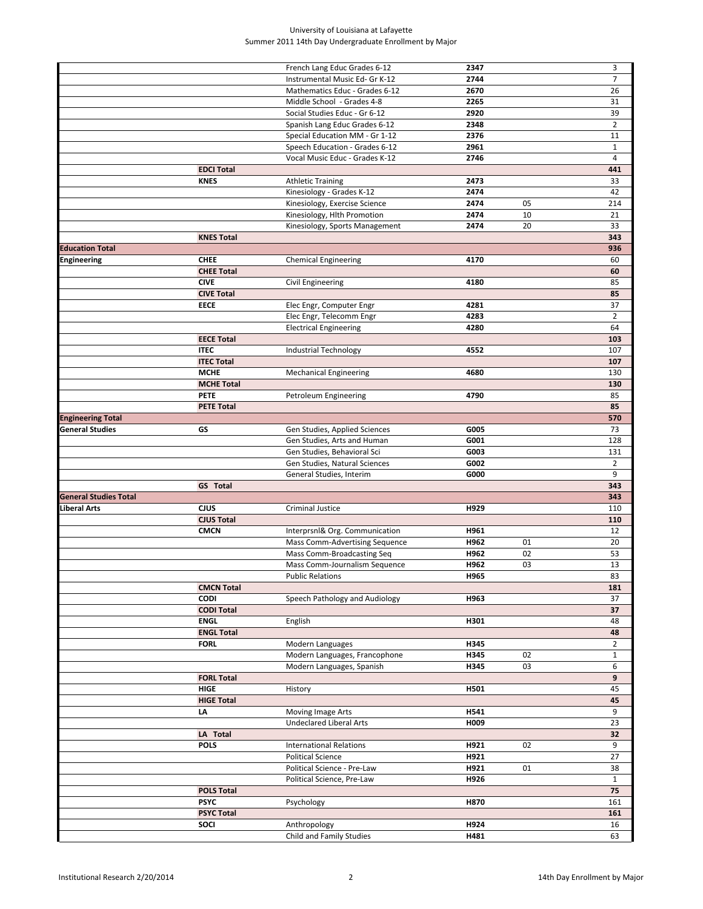# University of Louisiana at Lafayette Summer 2011 14th Day Undergraduate Enrollment by Major

|                              |                   | French Lang Educ Grades 6-12             | 2347         |    | 3              |
|------------------------------|-------------------|------------------------------------------|--------------|----|----------------|
|                              |                   | Instrumental Music Ed- Gr K-12           | 2744         |    | $\overline{7}$ |
|                              |                   | Mathematics Educ - Grades 6-12           | 2670         |    | 26             |
|                              |                   | Middle School - Grades 4-8               | 2265         |    | 31             |
|                              |                   | Social Studies Educ - Gr 6-12            | 2920         |    | 39             |
|                              |                   | Spanish Lang Educ Grades 6-12            | 2348         |    | $\overline{2}$ |
|                              |                   | Special Education MM - Gr 1-12           | 2376         |    | 11             |
|                              |                   | Speech Education - Grades 6-12           | 2961         |    | $\mathbf{1}$   |
|                              |                   | Vocal Music Educ - Grades K-12           | 2746         |    | 4              |
|                              | <b>EDCI Total</b> |                                          |              |    | 441            |
|                              | <b>KNES</b>       | <b>Athletic Training</b>                 | 2473         |    | 33             |
|                              |                   | Kinesiology - Grades K-12                | 2474         |    | 42             |
|                              |                   | Kinesiology, Exercise Science            | 2474         | 05 | 214            |
|                              |                   | Kinesiology, Hlth Promotion              | 2474         | 10 | 21             |
|                              |                   | Kinesiology, Sports Management           | 2474         | 20 | 33             |
|                              | <b>KNES Total</b> |                                          |              |    | 343            |
| <b>Education Total</b>       |                   |                                          |              |    | 936            |
| Engineering                  | <b>CHEE</b>       | <b>Chemical Engineering</b>              | 4170         |    | 60             |
|                              | <b>CHEE Total</b> |                                          |              |    | 60             |
|                              | <b>CIVE</b>       | Civil Engineering                        | 4180         |    | 85             |
|                              | <b>CIVE Total</b> |                                          |              |    | 85             |
|                              | <b>EECE</b>       | Elec Engr, Computer Engr                 | 4281         |    | 37             |
|                              |                   | Elec Engr, Telecomm Engr                 | 4283         |    | $\overline{2}$ |
|                              |                   | <b>Electrical Engineering</b>            | 4280         |    | 64             |
|                              | <b>EECE Total</b> |                                          |              |    | 103            |
|                              | <b>ITEC</b>       | Industrial Technology                    | 4552         |    | 107            |
|                              | <b>ITEC Total</b> |                                          |              |    | 107            |
|                              | <b>MCHE</b>       | <b>Mechanical Engineering</b>            | 4680         |    | 130            |
|                              | <b>MCHE Total</b> |                                          |              |    | 130            |
|                              | <b>PETE</b>       | Petroleum Engineering                    | 4790         |    | 85             |
|                              | <b>PETE Total</b> |                                          |              |    | 85             |
| <b>Engineering Total</b>     |                   |                                          |              |    | 570            |
| General Studies              | GS                | Gen Studies, Applied Sciences            | G005         |    | 73             |
|                              |                   | Gen Studies, Arts and Human              | G001         |    | 128            |
|                              |                   | Gen Studies, Behavioral Sci              | G003         |    | 131            |
|                              |                   | Gen Studies, Natural Sciences            | G002         |    | $\overline{2}$ |
|                              |                   | General Studies, Interim                 | G000         |    | 9              |
|                              | GS Total          |                                          |              |    | 343            |
| <b>General Studies Total</b> |                   |                                          |              |    | 343            |
| Liberal Arts                 | <b>CJUS</b>       | Criminal Justice                         | H929         |    | 110            |
|                              | <b>CJUS Total</b> |                                          |              |    | 110            |
|                              | <b>CMCN</b>       | Interprsnl& Org. Communication           | H961         |    | 12             |
|                              |                   | Mass Comm-Advertising Sequence           | H962         | 01 | 20             |
|                              |                   | Mass Comm-Broadcasting Seq               | H962         | 02 | 53             |
|                              |                   | Mass Comm-Journalism Sequence            | H962         | 03 | 13             |
|                              |                   | <b>Public Relations</b>                  | H965         |    | 83             |
|                              | <b>CMCN Total</b> |                                          |              |    | 181            |
|                              | <b>CODI</b>       | Speech Pathology and Audiology           | H963         |    | 37             |
|                              | <b>CODI Total</b> |                                          |              |    | 37             |
|                              | <b>ENGL</b>       | English                                  | H301         |    | 48             |
|                              | <b>ENGL Total</b> |                                          |              |    | 48             |
|                              | <b>FORL</b>       | Modern Languages                         | H345         |    | $\overline{2}$ |
|                              |                   | Modern Languages, Francophone            | H345         | 02 | $\mathbf{1}$   |
|                              |                   | Modern Languages, Spanish                | H345         | 03 | 6              |
|                              | <b>FORL Total</b> |                                          |              |    | 9              |
|                              | <b>HIGE</b>       | History                                  | H501         |    | 45             |
|                              | <b>HIGE Total</b> |                                          |              |    | 45             |
|                              | LA                | Moving Image Arts                        | H541         |    | 9              |
|                              |                   | <b>Undeclared Liberal Arts</b>           | H009         |    | 23             |
|                              | LA Total          |                                          |              |    | 32             |
|                              | <b>POLS</b>       | <b>International Relations</b>           | H921         | 02 | 9              |
|                              |                   | <b>Political Science</b>                 | H921         |    | 27             |
|                              |                   | Political Science - Pre-Law              | H921         | 01 | 38             |
|                              |                   |                                          | H926         |    | $\mathbf{1}$   |
|                              |                   | Political Science, Pre-Law               |              |    | 75             |
|                              | <b>POLS Total</b> |                                          |              |    |                |
|                              | <b>PSYC</b>       | Psychology                               | H870         |    | 161            |
|                              | <b>PSYC Total</b> |                                          |              |    | 161            |
|                              | SOCI              | Anthropology<br>Child and Family Studies | H924<br>H481 |    | 16<br>63       |
|                              |                   |                                          |              |    |                |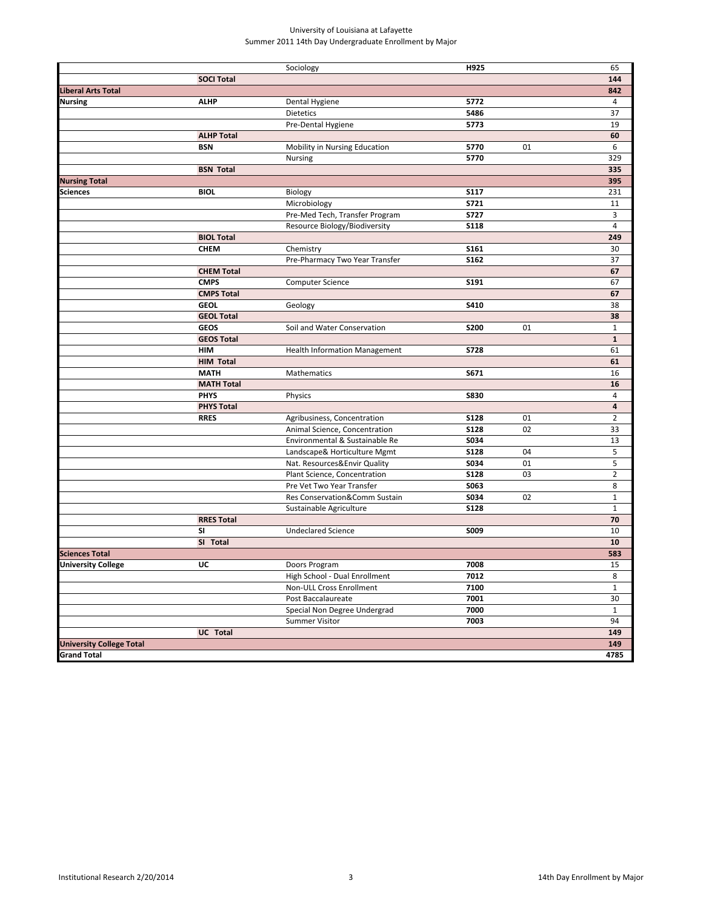# University of Louisiana at Lafayette Summer 2011 14th Day Undergraduate Enrollment by Major

|                                 |                   | Sociology                            | H925        |    | 65             |
|---------------------------------|-------------------|--------------------------------------|-------------|----|----------------|
|                                 | <b>SOCI Total</b> |                                      |             |    | 144            |
| Liberal Arts Total              |                   |                                      |             |    | 842            |
| <b>Nursing</b>                  | <b>ALHP</b>       | Dental Hygiene                       | 5772        |    | 4              |
|                                 |                   | Dietetics                            | 5486        |    | 37             |
|                                 |                   | Pre-Dental Hygiene                   | 5773        |    | 19             |
|                                 | <b>ALHP Total</b> |                                      |             |    | 60             |
|                                 | <b>BSN</b>        | Mobility in Nursing Education        | 5770        | 01 | 6              |
|                                 |                   | <b>Nursing</b>                       | 5770        |    | 329            |
|                                 | <b>BSN Total</b>  |                                      |             |    | 335            |
| <b>Nursing Total</b>            |                   |                                      |             |    | 395            |
| Sciences                        | <b>BIOL</b>       | Biology                              | <b>S117</b> |    | 231            |
|                                 |                   | Microbiology                         | <b>S721</b> |    | 11             |
|                                 |                   | Pre-Med Tech, Transfer Program       | <b>S727</b> |    | 3              |
|                                 |                   | Resource Biology/Biodiversity        | <b>S118</b> |    | 4              |
|                                 | <b>BIOL Total</b> |                                      |             |    | 249            |
|                                 | <b>CHEM</b>       | Chemistry                            | <b>S161</b> |    | 30             |
|                                 |                   | Pre-Pharmacy Two Year Transfer       | <b>S162</b> |    | 37             |
|                                 | <b>CHEM Total</b> |                                      |             |    | 67             |
|                                 | <b>CMPS</b>       | <b>Computer Science</b>              | S191        |    | 67             |
|                                 | <b>CMPS Total</b> |                                      |             |    | 67             |
|                                 | <b>GEOL</b>       | Geology                              | S410        |    | 38             |
|                                 | <b>GEOL Total</b> |                                      |             |    | 38             |
|                                 | <b>GEOS</b>       | Soil and Water Conservation          | <b>S200</b> | 01 | $\mathbf{1}$   |
|                                 | <b>GEOS Total</b> |                                      |             |    | $\mathbf{1}$   |
|                                 | HIM               | <b>Health Information Management</b> | <b>S728</b> |    | 61             |
|                                 | <b>HIM Total</b>  |                                      |             |    | 61             |
|                                 | <b>MATH</b>       | Mathematics                          | S671        |    | 16             |
|                                 | <b>MATH Total</b> |                                      |             |    | 16             |
|                                 | <b>PHYS</b>       | Physics                              | <b>S830</b> |    | $\overline{4}$ |
|                                 | <b>PHYS Total</b> |                                      |             |    | $\overline{4}$ |
|                                 | <b>RRES</b>       | Agribusiness, Concentration          | <b>S128</b> | 01 | $\overline{2}$ |
|                                 |                   | Animal Science, Concentration        | <b>S128</b> | 02 | 33             |
|                                 |                   | Environmental & Sustainable Re       | S034        |    | 13             |
|                                 |                   | Landscape& Horticulture Mgmt         | <b>S128</b> | 04 | 5              |
|                                 |                   | Nat. Resources&Envir Quality         | S034        | 01 | 5              |
|                                 |                   | Plant Science, Concentration         | <b>S128</b> | 03 | $\overline{2}$ |
|                                 |                   | Pre Vet Two Year Transfer            | S063        |    | 8              |
|                                 |                   | Res Conservation&Comm Sustain        | S034        | 02 | $\mathbf{1}$   |
|                                 |                   | Sustainable Agriculture              | <b>S128</b> |    | $\mathbf{1}$   |
|                                 | <b>RRES Total</b> |                                      |             |    | 70             |
|                                 | SI                | <b>Undeclared Science</b>            | S009        |    | 10             |
|                                 | SI Total          |                                      |             |    | 10             |
| <b>Sciences Total</b>           |                   |                                      |             |    | 583            |
| <b>University College</b>       | UC                | Doors Program                        | 7008        |    | 15             |
|                                 |                   | High School - Dual Enrollment        | 7012        |    | 8              |
|                                 |                   | Non-ULL Cross Enrollment             | 7100        |    | $\mathbf{1}$   |
|                                 |                   | Post Baccalaureate                   | 7001        |    | 30             |
|                                 |                   | Special Non Degree Undergrad         | 7000        |    | $\mathbf{1}$   |
|                                 |                   | <b>Summer Visitor</b>                | 7003        |    | 94             |
|                                 | <b>UC</b> Total   |                                      |             |    | 149            |
| <b>University College Total</b> |                   |                                      |             |    | 149            |
| <b>Grand Total</b>              |                   |                                      |             |    | 4785           |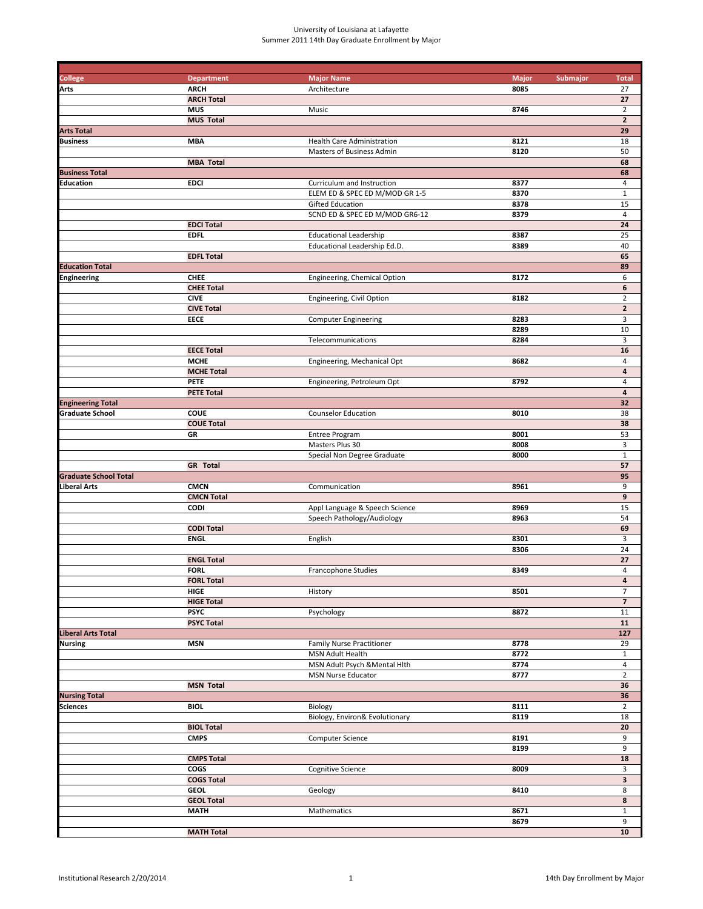### University of Louisiana at Lafayette Summer 2011 14th Day Graduate Enrollment by Major

| <b>College</b>               | <b>Department</b>                | <b>Major Name</b>                | <b>Major</b><br>Submajor | <b>Total</b>             |
|------------------------------|----------------------------------|----------------------------------|--------------------------|--------------------------|
| Arts                         | <b>ARCH</b>                      | Architecture                     | 8085                     | 27                       |
|                              | <b>ARCH Total</b>                |                                  |                          | 27                       |
|                              | <b>MUS</b>                       | Music                            | 8746                     | $\overline{2}$           |
|                              | <b>MUS Total</b>                 |                                  |                          | $\mathbf{2}$             |
| <b>Arts Total</b>            |                                  |                                  |                          | 29                       |
| <b>Business</b>              | <b>MBA</b>                       | Health Care Administration       | 8121                     | 18                       |
|                              |                                  | Masters of Business Admin        | 8120                     | 50                       |
|                              | <b>MBA Total</b>                 |                                  |                          | 68                       |
| <b>Business Total</b>        |                                  |                                  |                          | 68                       |
| <b>Education</b>             | <b>EDCI</b>                      | Curriculum and Instruction       | 8377                     | 4                        |
|                              |                                  | ELEM ED & SPEC ED M/MOD GR 1-5   | 8370                     | $\mathbf 1$              |
|                              |                                  | <b>Gifted Education</b>          | 8378                     | 15                       |
|                              |                                  | SCND ED & SPEC ED M/MOD GR6-12   | 8379                     | 4                        |
|                              | <b>EDCI Total</b>                |                                  |                          | 24                       |
|                              | <b>EDFL</b>                      | <b>Educational Leadership</b>    | 8387                     | 25                       |
|                              |                                  | Educational Leadership Ed.D.     | 8389                     | 40                       |
|                              | <b>EDFL Total</b>                |                                  |                          | 65                       |
| <b>Education Total</b>       |                                  |                                  |                          | 89                       |
| <b>Engineering</b>           | <b>CHEE</b>                      | Engineering, Chemical Option     | 8172                     | 6                        |
|                              | <b>CHEE Total</b>                |                                  |                          | 6                        |
|                              | <b>CIVE</b>                      | Engineering, Civil Option        | 8182                     | $\mathbf 2$              |
|                              | <b>CIVE Total</b>                |                                  |                          | $\mathbf{2}$             |
|                              | EECE                             | <b>Computer Engineering</b>      | 8283                     | 3                        |
|                              |                                  |                                  | 8289                     | 10                       |
|                              |                                  | Telecommunications               | 8284                     | 3                        |
|                              | <b>EECE Total</b>                |                                  |                          | 16                       |
|                              | <b>MCHE</b><br><b>MCHE Total</b> | Engineering, Mechanical Opt      | 8682                     | 4<br>4                   |
|                              | <b>PETE</b>                      |                                  |                          | 4                        |
|                              | <b>PETE Total</b>                | Engineering, Petroleum Opt       | 8792                     | 4                        |
| <b>Engineering Total</b>     |                                  |                                  |                          | 32                       |
| <b>Graduate School</b>       | <b>COUE</b>                      | <b>Counselor Education</b>       | 8010                     | 38                       |
|                              | <b>COUE Total</b>                |                                  |                          | 38                       |
|                              | GR                               | <b>Entree Program</b>            | 8001                     | 53                       |
|                              |                                  | Masters Plus 30                  | 8008                     | 3                        |
|                              |                                  | Special Non Degree Graduate      | 8000                     | $\mathbf 1$              |
|                              | <b>GR</b> Total                  |                                  |                          | 57                       |
| <b>Graduate School Total</b> |                                  |                                  |                          | 95                       |
| Liberal Arts                 | <b>CMCN</b>                      | Communication                    | 8961                     | 9                        |
|                              | <b>CMCN Total</b>                |                                  |                          | 9                        |
|                              | <b>CODI</b>                      | Appl Language & Speech Science   | 8969                     | 15                       |
|                              |                                  | Speech Pathology/Audiology       | 8963                     | 54                       |
|                              | <b>CODI Total</b>                |                                  |                          | 69                       |
|                              | <b>ENGL</b>                      | English                          | 8301                     | 3                        |
|                              |                                  |                                  | 8306                     | 24                       |
|                              | <b>ENGL Total</b>                |                                  |                          | 27                       |
|                              | <b>FORL</b>                      | <b>Francophone Studies</b>       | 8349                     | 4                        |
|                              | <b>FORL Total</b>                |                                  |                          | 4                        |
|                              | HIGE                             | History                          | 8501                     | $\overline{7}$           |
|                              | <b>HIGE Total</b>                |                                  |                          | $\overline{\phantom{a}}$ |
|                              | <b>PSYC</b>                      | Psychology                       | 8872                     | 11                       |
|                              | <b>PSYC Total</b>                |                                  |                          | 11                       |
| <b>Liberal Arts Total</b>    |                                  |                                  |                          | 127                      |
| <b>Nursing</b>               | <b>MSN</b>                       | <b>Family Nurse Practitioner</b> | 8778                     | 29                       |
|                              |                                  | MSN Adult Health                 | 8772                     | $\mathbf{1}$             |
|                              |                                  | MSN Adult Psych & Mental Hlth    | 8774                     | 4                        |
|                              |                                  | <b>MSN Nurse Educator</b>        | 8777                     | $\overline{2}$           |
|                              | <b>MSN Total</b>                 |                                  |                          | 36                       |
| <b>Nursing Total</b>         |                                  |                                  |                          | 36                       |
| <b>Sciences</b>              | <b>BIOL</b>                      | Biology                          | 8111                     | $\overline{2}$           |
|                              |                                  | Biology, Environ& Evolutionary   | 8119                     | 18                       |
|                              | <b>BIOL Total</b>                |                                  |                          | 20                       |
|                              | <b>CMPS</b>                      | <b>Computer Science</b>          | 8191                     | 9                        |
|                              |                                  |                                  | 8199                     | 9                        |
|                              | <b>CMPS Total</b>                |                                  |                          | 18                       |
|                              | <b>COGS</b>                      | <b>Cognitive Science</b>         | 8009                     | 3                        |
|                              | <b>COGS Total</b>                |                                  |                          | 3                        |
|                              | <b>GEOL</b>                      | Geology                          | 8410                     | 8                        |
|                              | <b>GEOL Total</b>                |                                  |                          | 8                        |
|                              | MATH                             | Mathematics                      | 8671                     | $\mathbf{1}$             |
|                              |                                  |                                  | 8679                     | 9                        |
|                              | <b>MATH Total</b>                |                                  |                          | 10                       |